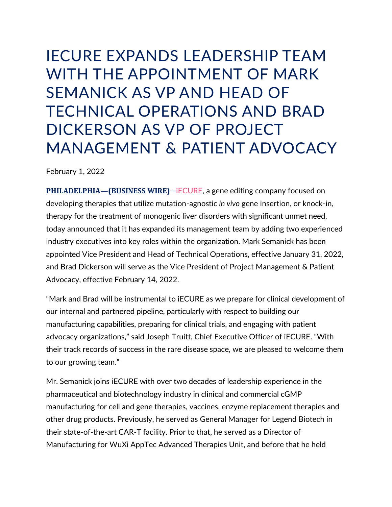## IECURE EXPANDS LEADERSHIP TEAM WITH THE APPOINTMENT OF MARK SEMANICK AS VP AND HEAD OF TECHNICAL OPERATIONS AND BRAD DICKERSON AS VP OF PROJECT MANAGEMENT & PATIENT ADVOCACY

February 1, 2022

**PHILADELPHIA—(BUSINESS WIRE)**—[iECURE,](https://cts.businesswire.com/ct/CT?id=smartlink&url=https%3A%2F%2Fiecure.com%2F&esheet=52571805&newsitemid=20220201005511&lan=en-US&anchor=iECURE&index=1&md5=b42a9bb5996399d03fc8549a2e4fef8d) a gene editing company focused on developing therapies that utilize mutation-agnostic *in vivo* gene insertion, or knock-in, therapy for the treatment of monogenic liver disorders with significant unmet need, today announced that it has expanded its management team by adding two experienced industry executives into key roles within the organization. Mark Semanick has been appointed Vice President and Head of Technical Operations, effective January 31, 2022, and Brad Dickerson will serve as the Vice President of Project Management & Patient Advocacy, effective February 14, 2022.

"Mark and Brad will be instrumental to iECURE as we prepare for clinical development of our internal and partnered pipeline, particularly with respect to building our manufacturing capabilities, preparing for clinical trials, and engaging with patient advocacy organizations," said Joseph Truitt, Chief Executive Officer of iECURE. "With their track records of success in the rare disease space, we are pleased to welcome them to our growing team."

Mr. Semanick joins iECURE with over two decades of leadership experience in the pharmaceutical and biotechnology industry in clinical and commercial cGMP manufacturing for cell and gene therapies, vaccines, enzyme replacement therapies and other drug products. Previously, he served as General Manager for Legend Biotech in their state-of-the-art CAR-T facility. Prior to that, he served as a Director of Manufacturing for WuXi AppTec Advanced Therapies Unit, and before that he held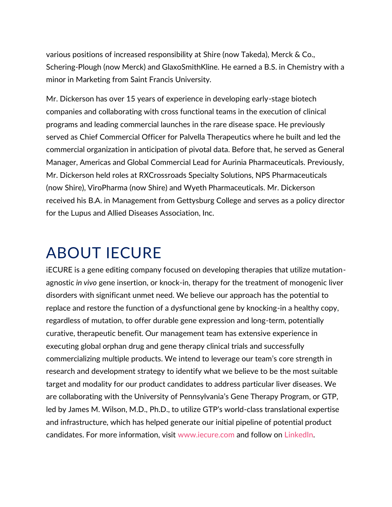various positions of increased responsibility at Shire (now Takeda), Merck & Co., Schering-Plough (now Merck) and GlaxoSmithKline. He earned a B.S. in Chemistry with a minor in Marketing from Saint Francis University.

Mr. Dickerson has over 15 years of experience in developing early-stage biotech companies and collaborating with cross functional teams in the execution of clinical programs and leading commercial launches in the rare disease space. He previously served as Chief Commercial Officer for Palvella Therapeutics where he built and led the commercial organization in anticipation of pivotal data. Before that, he served as General Manager, Americas and Global Commercial Lead for Aurinia Pharmaceuticals. Previously, Mr. Dickerson held roles at RXCrossroads Specialty Solutions, NPS Pharmaceuticals (now Shire), ViroPharma (now Shire) and Wyeth Pharmaceuticals. Mr. Dickerson received his B.A. in Management from Gettysburg College and serves as a policy director for the Lupus and Allied Diseases Association, Inc.

## ABOUT IECURE

iECURE is a gene editing company focused on developing therapies that utilize mutationagnostic *in vivo* gene insertion, or knock-in, therapy for the treatment of monogenic liver disorders with significant unmet need. We believe our approach has the potential to replace and restore the function of a dysfunctional gene by knocking-in a healthy copy, regardless of mutation, to offer durable gene expression and long-term, potentially curative, therapeutic benefit. Our management team has extensive experience in executing global orphan drug and gene therapy clinical trials and successfully commercializing multiple products. We intend to leverage our team's core strength in research and development strategy to identify what we believe to be the most suitable target and modality for our product candidates to address particular liver diseases. We are collaborating with the University of Pennsylvania's Gene Therapy Program, or GTP, led by James M. Wilson, M.D., Ph.D., to utilize GTP's world-class translational expertise and infrastructure, which has helped generate our initial pipeline of potential product candidates. For more information, visit [www.iecure.com](https://cts.businesswire.com/ct/CT?id=smartlink&url=https%3A%2F%2Fiecure.com%2F&esheet=52571805&newsitemid=20220201005511&lan=en-US&anchor=www.iecure.com&index=2&md5=239987cdc9bfa39fad3a818d8e48a9d8) and follow on [LinkedIn.](https://cts.businesswire.com/ct/CT?id=smartlink&url=https%3A%2F%2Fwww.linkedin.com%2Fcompany%2Fiecure%2F&esheet=52571805&newsitemid=20220201005511&lan=en-US&anchor=LinkedIn&index=3&md5=32106a1d6f7e2c86dfeaeb2cbc3e77d3)